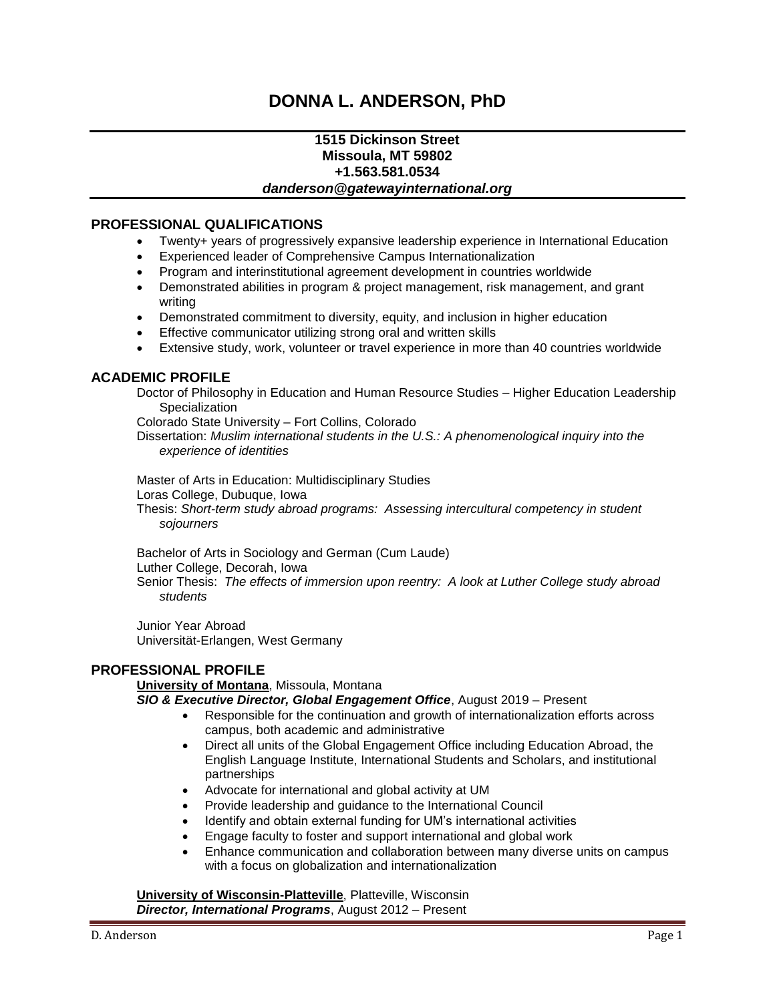# **DONNA L. ANDERSON, PhD**

### **1515 Dickinson Street Missoula, MT 59802 +1.563.581.0534** *danderson@gatewayinternational.org*

### **PROFESSIONAL QUALIFICATIONS**

- Twenty+ years of progressively expansive leadership experience in International Education
- Experienced leader of Comprehensive Campus Internationalization
- Program and interinstitutional agreement development in countries worldwide
- Demonstrated abilities in program & project management, risk management, and grant writing
- Demonstrated commitment to diversity, equity, and inclusion in higher education
- **Effective communicator utilizing strong oral and written skills**
- Extensive study, work, volunteer or travel experience in more than 40 countries worldwide

### **ACADEMIC PROFILE**

Doctor of Philosophy in Education and Human Resource Studies – Higher Education Leadership **Specialization** 

Colorado State University – Fort Collins, Colorado

Dissertation: *Muslim international students in the U.S.: A phenomenological inquiry into the experience of identities*

Master of Arts in Education: Multidisciplinary Studies Loras College, Dubuque, Iowa Thesis: *Short-term study abroad programs: Assessing intercultural competency in student sojourners*

Bachelor of Arts in Sociology and German (Cum Laude) Luther College, Decorah, Iowa Senior Thesis: *The effects of immersion upon reentry: A look at Luther College study abroad students*

Junior Year Abroad Universität-Erlangen, West Germany

### **PROFESSIONAL PROFILE**

#### **University of Montana**, Missoula, Montana

*SIO & Executive Director, Global Engagement Office*, August 2019 – Present

- Responsible for the continuation and growth of internationalization efforts across campus, both academic and administrative
- Direct all units of the Global Engagement Office including Education Abroad, the English Language Institute, International Students and Scholars, and institutional partnerships
- Advocate for international and global activity at UM
- Provide leadership and guidance to the International Council
- Identify and obtain external funding for UM's international activities
- Engage faculty to foster and support international and global work
- Enhance communication and collaboration between many diverse units on campus with a focus on globalization and internationalization

**University of Wisconsin-Platteville**, Platteville, Wisconsin *Director, International Programs*, August 2012 – Present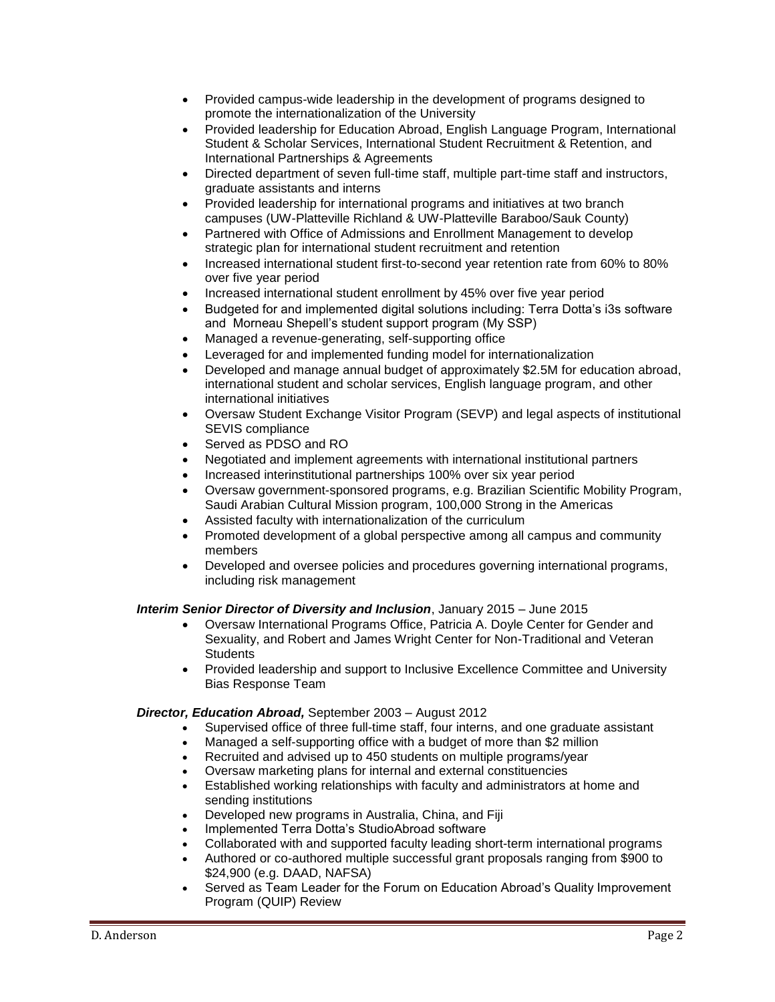- Provided campus-wide leadership in the development of programs designed to promote the internationalization of the University
- Provided leadership for Education Abroad, English Language Program, International Student & Scholar Services, International Student Recruitment & Retention, and International Partnerships & Agreements
- Directed department of seven full-time staff, multiple part-time staff and instructors, graduate assistants and interns
- Provided leadership for international programs and initiatives at two branch campuses (UW-Platteville Richland & UW-Platteville Baraboo/Sauk County)
- Partnered with Office of Admissions and Enrollment Management to develop strategic plan for international student recruitment and retention
- Increased international student first-to-second year retention rate from 60% to 80% over five year period
- Increased international student enrollment by 45% over five year period
- Budgeted for and implemented digital solutions including: Terra Dotta's i3s software and Morneau Shepell's student support program (My SSP)
- Managed a revenue-generating, self-supporting office
- Leveraged for and implemented funding model for internationalization
- Developed and manage annual budget of approximately \$2.5M for education abroad, international student and scholar services, English language program, and other international initiatives
- Oversaw Student Exchange Visitor Program (SEVP) and legal aspects of institutional SEVIS compliance
- Served as PDSO and RO
- Negotiated and implement agreements with international institutional partners
- Increased interinstitutional partnerships 100% over six year period
- Oversaw government-sponsored programs, e.g. Brazilian Scientific Mobility Program, Saudi Arabian Cultural Mission program, 100,000 Strong in the Americas
- Assisted faculty with internationalization of the curriculum
- Promoted development of a global perspective among all campus and community members
- Developed and oversee policies and procedures governing international programs, including risk management

### *Interim Senior Director of Diversity and Inclusion*, January 2015 – June 2015

- Oversaw International Programs Office, Patricia A. Doyle Center for Gender and Sexuality, and Robert and James Wright Center for Non-Traditional and Veteran **Students**
- Provided leadership and support to Inclusive Excellence Committee and University Bias Response Team

### *Director, Education Abroad,* September 2003 – August 2012

- Supervised office of three full-time staff, four interns, and one graduate assistant
- Managed a self-supporting office with a budget of more than \$2 million
- Recruited and advised up to 450 students on multiple programs/year
- Oversaw marketing plans for internal and external constituencies
- Established working relationships with faculty and administrators at home and sending institutions
- Developed new programs in Australia, China, and Fiji
- Implemented Terra Dotta's StudioAbroad software
- Collaborated with and supported faculty leading short-term international programs
- Authored or co-authored multiple successful grant proposals ranging from \$900 to \$24,900 (e.g. DAAD, NAFSA)
- Served as Team Leader for the Forum on Education Abroad's Quality Improvement Program (QUIP) Review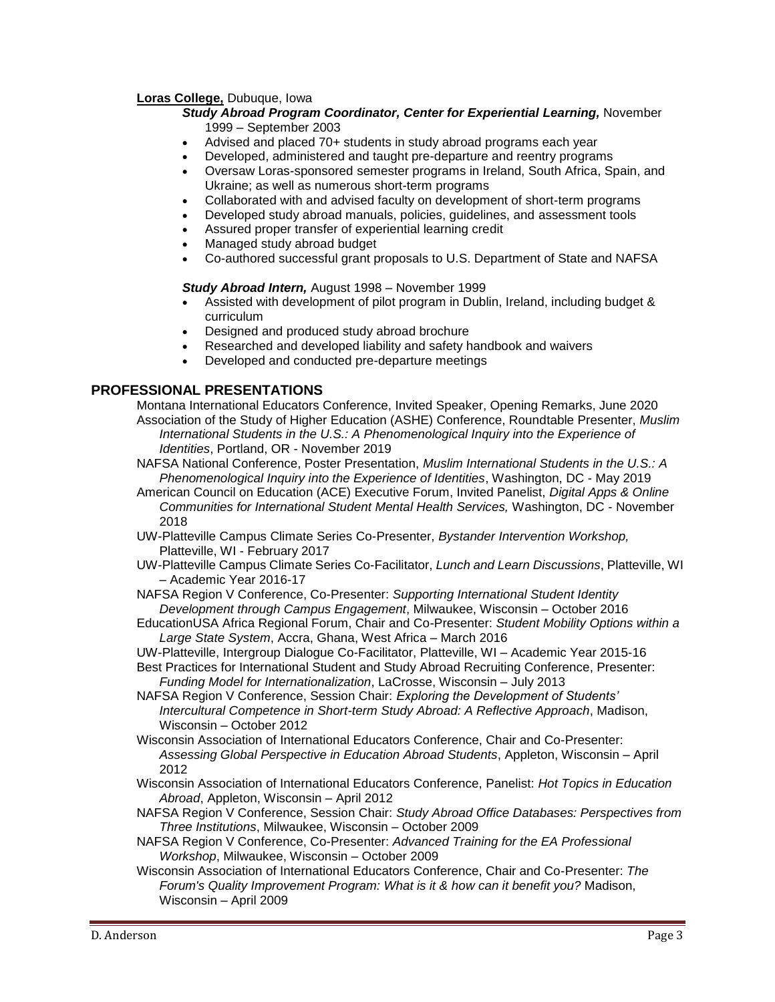### **Loras College,** Dubuque, Iowa

#### *Study Abroad Program Coordinator, Center for Experiential Learning,* November 1999 – September 2003

- Advised and placed 70+ students in study abroad programs each year
- Developed, administered and taught pre-departure and reentry programs
- Oversaw Loras-sponsored semester programs in Ireland, South Africa, Spain, and Ukraine; as well as numerous short-term programs
- Collaborated with and advised faculty on development of short-term programs
- Developed study abroad manuals, policies, guidelines, and assessment tools
- Assured proper transfer of experiential learning credit
- Managed study abroad budget
- Co-authored successful grant proposals to U.S. Department of State and NAFSA

#### *Study Abroad Intern,* August 1998 – November 1999

- Assisted with development of pilot program in Dublin, Ireland, including budget & curriculum
- Designed and produced study abroad brochure
- Researched and developed liability and safety handbook and waivers
- Developed and conducted pre-departure meetings

# **PROFESSIONAL PRESENTATIONS**

Montana International Educators Conference, Invited Speaker, Opening Remarks, June 2020 Association of the Study of Higher Education (ASHE) Conference, Roundtable Presenter, *Muslim International Students in the U.S.: A Phenomenological Inquiry into the Experience of Identities*, Portland, OR - November 2019

- NAFSA National Conference, Poster Presentation, *Muslim International Students in the U.S.: A Phenomenological Inquiry into the Experience of Identities*, Washington, DC - May 2019
- American Council on Education (ACE) Executive Forum, Invited Panelist, *Digital Apps & Online Communities for International Student Mental Health Services,* Washington, DC - November 2018
- UW-Platteville Campus Climate Series Co-Presenter, *Bystander Intervention Workshop,* Platteville, WI - February 2017
- UW-Platteville Campus Climate Series Co-Facilitator, *Lunch and Learn Discussions*, Platteville, WI – Academic Year 2016-17
- NAFSA Region V Conference, Co-Presenter: *Supporting International Student Identity Development through Campus Engagement*, Milwaukee, Wisconsin – October 2016
- EducationUSA Africa Regional Forum, Chair and Co-Presenter: *Student Mobility Options within a Large State System*, Accra, Ghana, West Africa – March 2016
- UW-Platteville, Intergroup Dialogue Co-Facilitator, Platteville, WI Academic Year 2015-16
- Best Practices for International Student and Study Abroad Recruiting Conference, Presenter: *Funding Model for Internationalization*, LaCrosse, Wisconsin – July 2013
- NAFSA Region V Conference, Session Chair: *Exploring the Development of Students' Intercultural Competence in Short-term Study Abroad: A Reflective Approach*, Madison, Wisconsin – October 2012
- Wisconsin Association of International Educators Conference, Chair and Co-Presenter: *Assessing Global Perspective in Education Abroad Students*, Appleton, Wisconsin – April 2012
- Wisconsin Association of International Educators Conference, Panelist: *Hot Topics in Education Abroad*, Appleton, Wisconsin – April 2012
- NAFSA Region V Conference, Session Chair: *Study Abroad Office Databases: Perspectives from Three Institutions*, Milwaukee, Wisconsin – October 2009
- NAFSA Region V Conference, Co-Presenter: *Advanced Training for the EA Professional Workshop*, Milwaukee, Wisconsin – October 2009
- Wisconsin Association of International Educators Conference, Chair and Co-Presenter: *The Forum's Quality Improvement Program: What is it & how can it benefit you?* Madison, Wisconsin – April 2009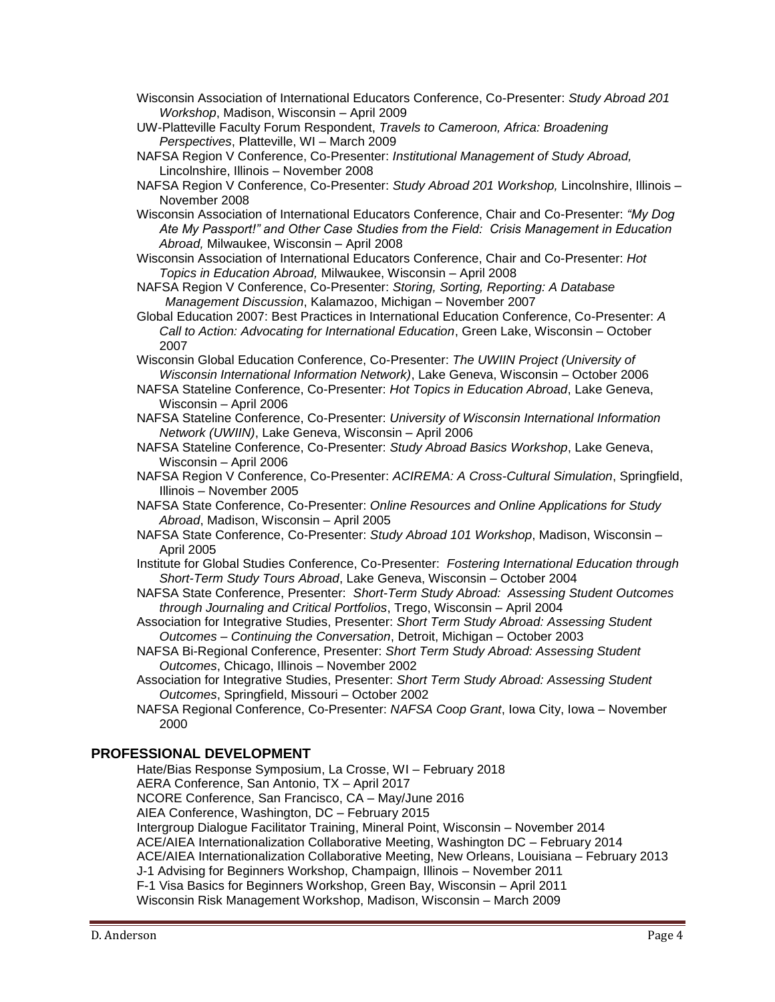- Wisconsin Association of International Educators Conference, Co-Presenter: *Study Abroad 201 Workshop*, Madison, Wisconsin – April 2009
- UW-Platteville Faculty Forum Respondent, *Travels to Cameroon, Africa: Broadening Perspectives*, Platteville, WI – March 2009
- NAFSA Region V Conference, Co-Presenter: *Institutional Management of Study Abroad,* Lincolnshire, Illinois – November 2008
- NAFSA Region V Conference, Co-Presenter: *Study Abroad 201 Workshop,* Lincolnshire, Illinois November 2008
- Wisconsin Association of International Educators Conference, Chair and Co-Presenter: *"My Dog Ate My Passport!" and Other Case Studies from the Field: Crisis Management in Education Abroad,* Milwaukee, Wisconsin – April 2008
- Wisconsin Association of International Educators Conference, Chair and Co-Presenter: *Hot Topics in Education Abroad,* Milwaukee, Wisconsin – April 2008
- NAFSA Region V Conference, Co-Presenter: *Storing, Sorting, Reporting: A Database Management Discussion*, Kalamazoo, Michigan – November 2007
- Global Education 2007: Best Practices in International Education Conference, Co-Presenter: *A Call to Action: Advocating for International Education*, Green Lake, Wisconsin – October 2007
- Wisconsin Global Education Conference, Co-Presenter: *The UWIIN Project (University of Wisconsin International Information Network)*, Lake Geneva, Wisconsin – October 2006
- NAFSA Stateline Conference, Co-Presenter: *Hot Topics in Education Abroad*, Lake Geneva, Wisconsin – April 2006
- NAFSA Stateline Conference, Co-Presenter: *University of Wisconsin International Information Network (UWIIN)*, Lake Geneva, Wisconsin – April 2006
- NAFSA Stateline Conference, Co-Presenter: *Study Abroad Basics Workshop*, Lake Geneva, Wisconsin – April 2006
- NAFSA Region V Conference, Co-Presenter: *ACIREMA: A Cross-Cultural Simulation*, Springfield, Illinois – November 2005
- NAFSA State Conference, Co-Presenter: *Online Resources and Online Applications for Study Abroad*, Madison, Wisconsin – April 2005
- NAFSA State Conference, Co-Presenter: *Study Abroad 101 Workshop*, Madison, Wisconsin April 2005
- Institute for Global Studies Conference, Co-Presenter: *Fostering International Education through Short-Term Study Tours Abroad*, Lake Geneva, Wisconsin – October 2004
- NAFSA State Conference, Presenter: *Short-Term Study Abroad: Assessing Student Outcomes through Journaling and Critical Portfolios*, Trego, Wisconsin – April 2004
- Association for Integrative Studies, Presenter: *Short Term Study Abroad: Assessing Student Outcomes – Continuing the Conversation*, Detroit, Michigan – October 2003
- NAFSA Bi-Regional Conference, Presenter: *Short Term Study Abroad: Assessing Student Outcomes*, Chicago, Illinois – November 2002
- Association for Integrative Studies, Presenter: *Short Term Study Abroad: Assessing Student Outcomes*, Springfield, Missouri – October 2002
- NAFSA Regional Conference, Co-Presenter: *NAFSA Coop Grant*, Iowa City, Iowa November 2000

### **PROFESSIONAL DEVELOPMENT**

Hate/Bias Response Symposium, La Crosse, WI – February 2018 AERA Conference, San Antonio, TX – April 2017 NCORE Conference, San Francisco, CA – May/June 2016 AIEA Conference, Washington, DC – February 2015 Intergroup Dialogue Facilitator Training, Mineral Point, Wisconsin – November 2014 ACE/AIEA Internationalization Collaborative Meeting, Washington DC – February 2014 ACE/AIEA Internationalization Collaborative Meeting, New Orleans, Louisiana – February 2013 J-1 Advising for Beginners Workshop, Champaign, Illinois – November 2011 F-1 Visa Basics for Beginners Workshop, Green Bay, Wisconsin – April 2011 Wisconsin Risk Management Workshop, Madison, Wisconsin – March 2009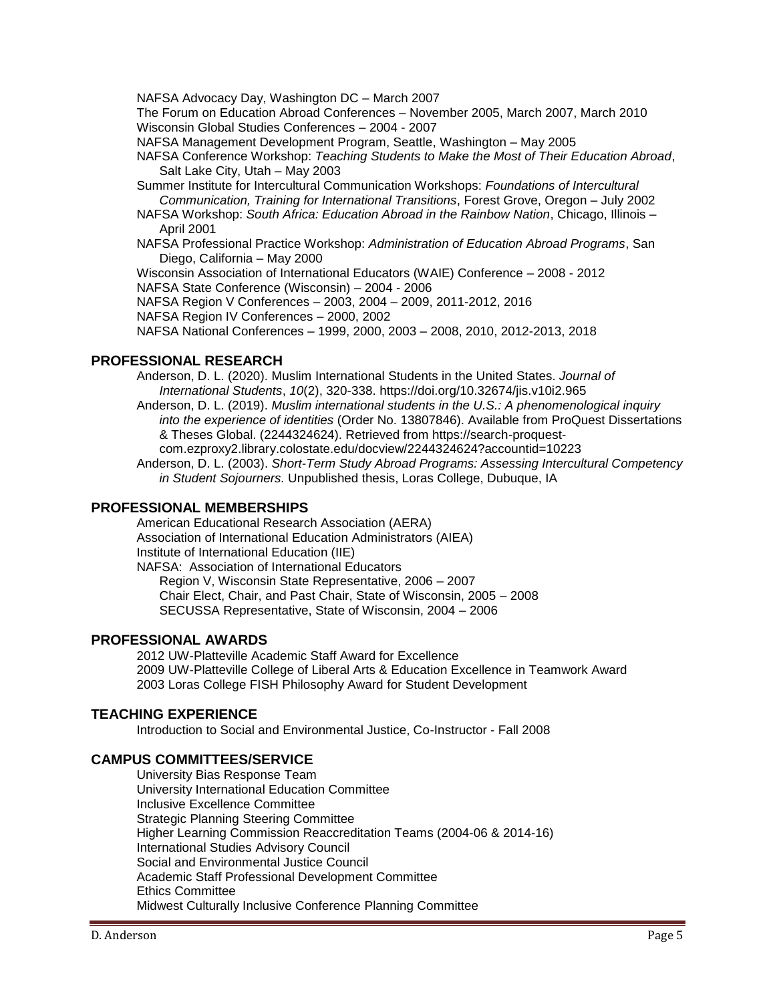NAFSA Advocacy Day, Washington DC – March 2007

The Forum on Education Abroad Conferences – November 2005, March 2007, March 2010 Wisconsin Global Studies Conferences – 2004 - 2007

NAFSA Management Development Program, Seattle, Washington – May 2005

- NAFSA Conference Workshop: *Teaching Students to Make the Most of Their Education Abroad*, Salt Lake City, Utah – May 2003
- Summer Institute for Intercultural Communication Workshops: *Foundations of Intercultural Communication, Training for International Transitions*, Forest Grove, Oregon – July 2002
- NAFSA Workshop: *South Africa: Education Abroad in the Rainbow Nation*, Chicago, Illinois April 2001
- NAFSA Professional Practice Workshop: *Administration of Education Abroad Programs*, San Diego, California – May 2000

Wisconsin Association of International Educators (WAIE) Conference – 2008 - 2012

NAFSA State Conference (Wisconsin) – 2004 - 2006

NAFSA Region V Conferences – 2003, 2004 – 2009, 2011-2012, 2016

NAFSA Region IV Conferences – 2000, 2002

NAFSA National Conferences – 1999, 2000, 2003 – 2008, 2010, 2012-2013, 2018

# **PROFESSIONAL RESEARCH**

Anderson, D. L. (2020). Muslim International Students in the United States. *Journal of International Students*, *10*(2), 320-338. <https://doi.org/10.32674/jis.v10i2.965>

- Anderson, D. L. (2019). *Muslim international students in the U.S.: A phenomenological inquiry into the experience of identities* (Order No. 13807846). Available from ProQuest Dissertations & Theses Global. (2244324624). Retrieved from https://search-proquestcom.ezproxy2.library.colostate.edu/docview/2244324624?accountid=10223
- Anderson, D. L. (2003). *Short-Term Study Abroad Programs: Assessing Intercultural Competency in Student Sojourners.* Unpublished thesis, Loras College, Dubuque, IA

# **PROFESSIONAL MEMBERSHIPS**

American Educational Research Association (AERA) Association of International Education Administrators (AIEA) Institute of International Education (IIE) NAFSA: Association of International Educators Region V, Wisconsin State Representative, 2006 – 2007

Chair Elect, Chair, and Past Chair, State of Wisconsin, 2005 – 2008 SECUSSA Representative, State of Wisconsin, 2004 – 2006

### **PROFESSIONAL AWARDS**

2012 UW-Platteville Academic Staff Award for Excellence 2009 UW-Platteville College of Liberal Arts & Education Excellence in Teamwork Award 2003 Loras College FISH Philosophy Award for Student Development

### **TEACHING EXPERIENCE**

Introduction to Social and Environmental Justice, Co-Instructor - Fall 2008

# **CAMPUS COMMITTEES/SERVICE**

University Bias Response Team University International Education Committee Inclusive Excellence Committee Strategic Planning Steering Committee Higher Learning Commission Reaccreditation Teams (2004-06 & 2014-16) International Studies Advisory Council Social and Environmental Justice Council Academic Staff Professional Development Committee Ethics Committee Midwest Culturally Inclusive Conference Planning Committee